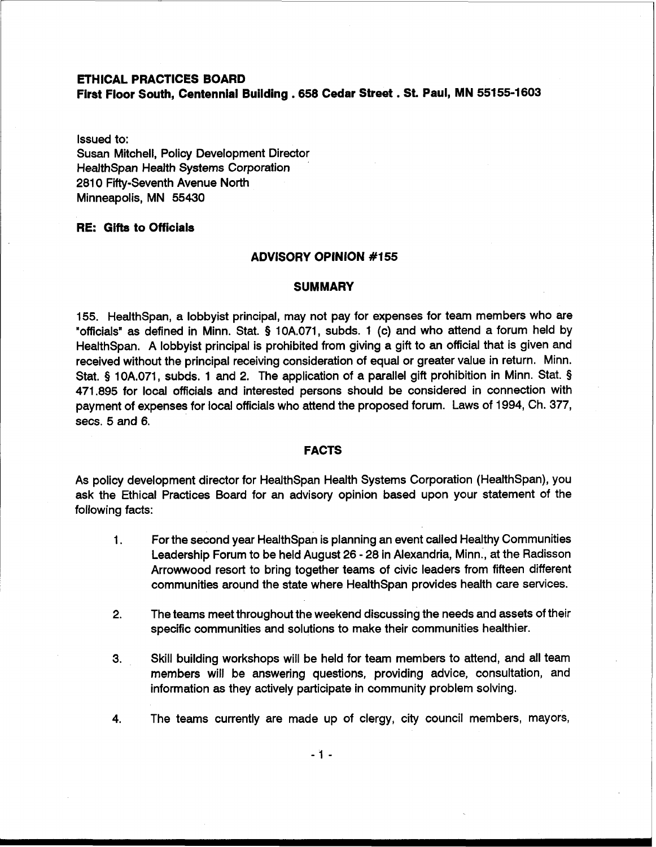# **ETHICAL PRACTICES BOARD**

**Fird Floor South, Centennial Building .658 Cedar Street** . **St. Paul, MN 55155-1603** 

Issued to:

Susan Mitchell, Policy Development Director HealthSpan Health Systems Corporation 2810 Fifty-Seventh Avenue North Minneapolis, MN 55430

# **RE: Gifts to Officials**

#### **ADVISORY OPINION #I55**

### **SUMMARY**

155. HealthSpan, a lobbyist principal, may not pay for expenses for team members who are "officials" as defined in Minn. Stat. § 10A.071, subds. 1 (c) and who attend a forum held by HealthSpan. A lobbyist principal is prohibited from giving a gift to an official that is given and received without the principal receiving consideration of equal or greater value in return. Minn. Stat. § 10A.071, subds. 1 and 2. The application of a parallel gift prohibition in Minn. Stat. § 471.895 for local officials and interested persons should be considered in connection with payment of expenses for local officials who attend the proposed forum. Laws of 1994, Ch. 377, secs. 5 and 6.

## **FACTS**

As policy development director for HealthSpan Health Systems Corporation (HealthSpan), you ask the Ethical Practices Board for an advisory opinion based upon your statement of the following facts:

- **1.** For the second year Health Span is planning an event called Healthy Communities Leadership Forum to be held August 26 - 28 in Alexandria, Minn.., at the Radisson Arrowwood resort to bring together teams of civic leaders from fifteen different communities around the state where HealthSpan provides health care services.
- 2. The teams meet throughout the weekend discussing the needs and assets of their specific communities and solutions to make their communities healthier.
- 3. Skill building workshops will be held for team members to attend, and all team members will be answering questions, providing advice, consultation, and information as they actively participate in community problem solving.
- 4. The teams currently are made up of clergy, city council members, mayors,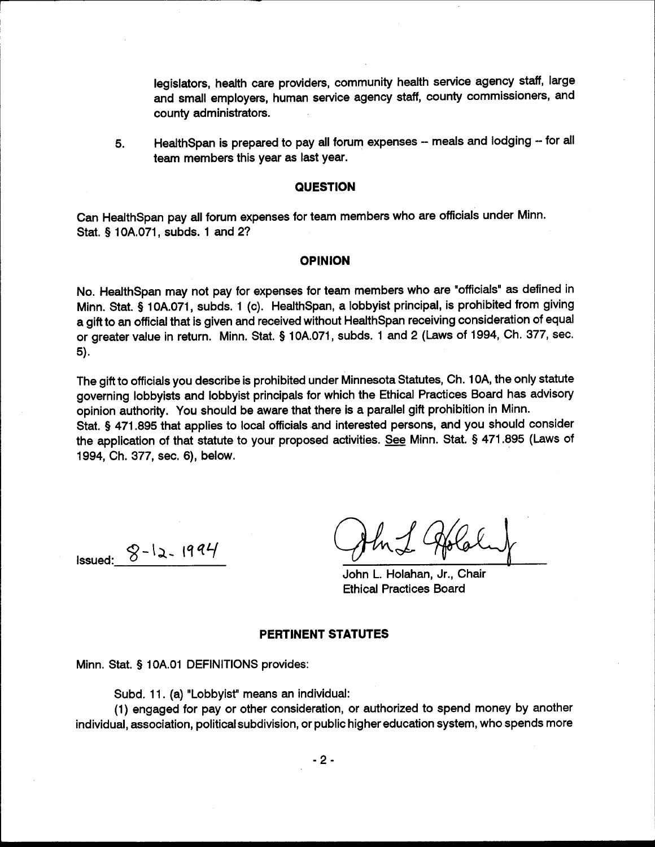legislators, health care providers, community health service agency staff, large and small employers, human service agency staff, county commissioners, and county administrators.

HealthSpan is prepared to pay all forum expenses -- meals and lodging -- for all 5. team members this year as last year.

### **QUESTION**

Can HealthSpan pay all forum expenses for team members who are officials under Minn. Stat. § 10A.071. subds. 1 and 2?

## **OPINION**

No. HealthSpan may not pay for expenses for team members who are "officials" as defined in Minn. Stat. § 10A.071, subds. 1 (c). HealthSpan, a lobbyist principal, is prohibited from giving a gift to an official that is given and received without HealthSpan receiving consideration of equal or greater value in return. Minn. Stat. § 10A.071, subds. 1 and 2 (Laws of 1994, Ch. 377, sec. 5).

The gift to officials you describe is prohibited under Minnesota Statutes, Ch. 10A, the only statute governing lobbyists and lobbyist principals for which the Ethical Practices Board has advisory opinion authority. You should be aware that there is a parallel gift prohibition in Minn. Stat. § 471.895 that applies to local officials and interested persons, and you should consider the application of that statute to your proposed activities. See Minn. Stat. § 471.895 (Laws of 1994, Ch. 377, sec. 6), below.

**Issued:**  $8 - 12 - 1994$ 

John L. Holahan, Jr., Chair **Ethical Practices Board** 

### **PERTINENT STATUTES**

Minn. Stat. § 10A.01 DEFINITIONS provides:

Subd. 11. (a) "Lobbyist" means an individual:

(1) engaged for pay or other consideration, or authorized to spend money by another individual, association, political subdivision, or public higher education system, who spends more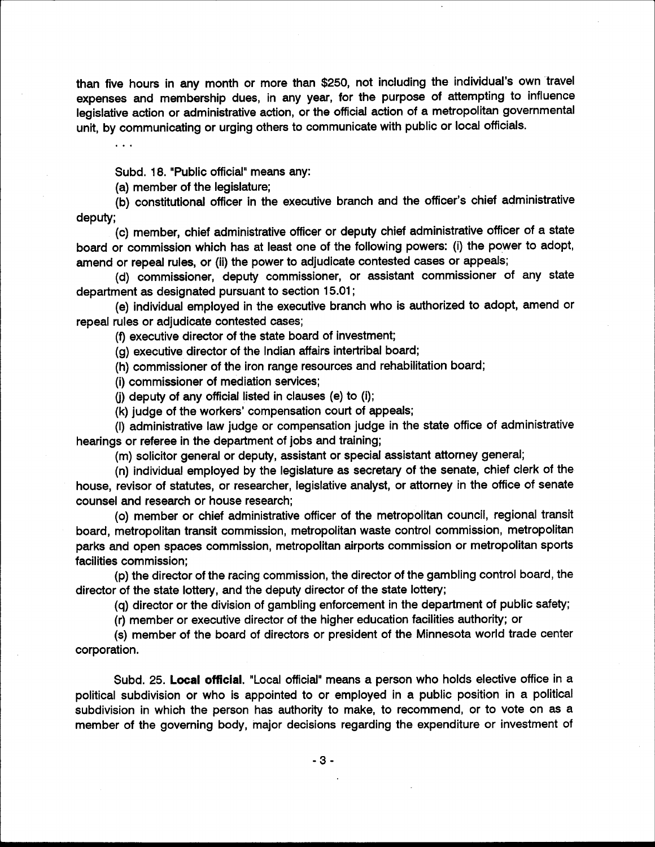than five hours in any month or more than \$250, not including the individual's own travel expenses and membership dues, in any year, for the purpose of attempting to influence legislative action or administrative action, or the official action of a metropolitan governmental unit, by communicating or urging others to communicate with public or local officials.

Subd. 18. "Public official" means any:

(a) member of the legislature;

(b) constitutional officer in the executive branch and the officer's chief administrative deputy;

(c) member, chief administrative officer or deputy chief administrative officer of a state board or commission which has at least one of the following powers: (i) the power to adopt, amend or repeal rules, or (ii) the power to adjudicate contested cases or appeals;

(d) commissioner, deputy commissioner, or assistant commissioner of any state department as designated pursuant to section 15.01;

(e) individual employed in the executive branch who is authorized to adopt, amend or repeal rules or adjudicate contested cases;

(f) executive director of the state board of investment;

(g) executive director of the Indian affairs intertribal board;

(h) commissioner of the iron range resources and rehabilitation board;

(i) commissioner of mediation services;

(i) deputy of any official listed in clauses (e) to (i);

(k) judge of the workers' compensation court of appeals;

(I) administrative law judge or compensation judge in the state office of administrative hearings or referee in the department of jobs and training;

(m) solicitor general or deputy, assistant or special assistant attorney general;

(n) individual employed by the legislature as secretary of the senate, chief clerk of the house, revisor of statutes, or researcher, legislative analyst, or attorney in the office of senate counsel and research or house research;

(o) member or chief administrative officer of the metropolitan council, regional transit board, metropolitan transit commission, metropolitan waste control commission, metropolitan parks and open spaces commission, metropolitan airports commission or metropolitan sports facilities commission:

(p) the director of the racing commission, the director of the gambling control board, the director of the state lottery, and the deputy director of the state lottery;

(q) director or the division of gambling enforcement in the department of public safety;

(r) member or executive director of the higher education facilities authority; or

(s) member of the board of directors or president of the Minnesota world trade center corporation.

Subd. 25. Local official. "Local official" means a person who holds elective office in a political subdivision or who is appointed to or employed in a public position in a political subdivision in which the person has authority to make, to recommend, or to vote on as a member of the governing body, major decisions regarding the expenditure or investment of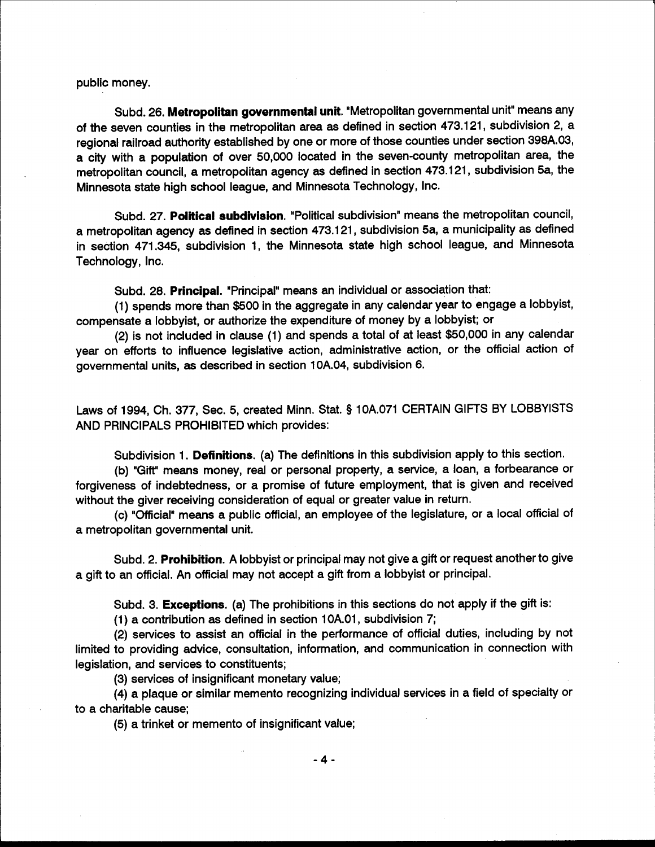public money.

Subd. 26. Metropolitan governmental unit. "Metropolitan governmental unit" means any of the seven counties in the metropolitan area as defined in section 473.121, subdivision 2, a regional railroad authority established by one or more of those counties under section 398A.03, a city with a population of over 50,000 located in the seven-county metropolitan area, the metropolitan council, a metropolitan agency as defined in section 473.121, subdivision 5a, the Minnesota state high school league, and Minnesota Technology, Inc.

Subd. 27. Political subdivision. "Political subdivision" means the metropolitan council, a metropolitan agency as defined in section 473.121, subdivision 5a, a municipality as defined in section 471.345, subdivision 1, the Minnesota state high school league, and Minnesota Technology, Inc.

Subd. 28. Principal. "Principal" means an individual or association that:

(1) spends more than \$500 in the aggregate in any calendar year to engage a lobbyist, compensate a lobbyist, or authorize the expenditure of money by a lobbyist; or

(2) is not included in clause (1) and spends a total of at least \$50,000 in any calendar year on efforts to influence legislative action, administrative action, or the official action of governmental units, as described in section 10A.04, subdivision 6.

Laws of 1994, Ch. 377, Sec. 5, created Minn. Stat. § 10A.071 CERTAIN GIFTS BY LOBBYISTS AND PRINCIPALS PROHIBITED which provides:

Subdivision 1. Definitions. (a) The definitions in this subdivision apply to this section.

(b) "Gift" means money, real or personal property, a service, a loan, a forbearance or forgiveness of indebtedness, or a promise of future employment, that is given and received without the giver receiving consideration of equal or greater value in return.

(c) "Official" means a public official, an employee of the legislature, or a local official of a metropolitan governmental unit.

Subd. 2. Prohibition. A lobbyist or principal may not give a gift or request another to give a gift to an official. An official may not accept a gift from a lobbyist or principal.

Subd. 3. Exceptions. (a) The prohibitions in this sections do not apply if the gift is:

(1) a contribution as defined in section 10A.01, subdivision 7;

(2) services to assist an official in the performance of official duties, including by not limited to providing advice, consultation, information, and communication in connection with legislation, and services to constituents;

(3) services of insignificant monetary value;

(4) a plaque or similar memento recognizing individual services in a field of specialty or to a charitable cause:

(5) a trinket or memento of insignificant value;

 $-4-$